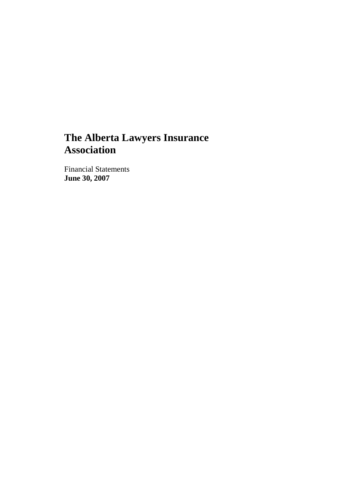## **The Alberta Lawyers Insurance Association**

Financial Statements **June 30, 2007**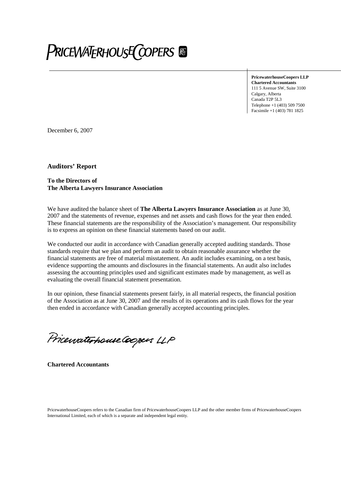# **PRICEWATERHOUSE COPERS**

**PricewaterhouseCoopers LLP Chartered Accountants** 111 5 Avenue SW, Suite 3100 Calgary, Alberta Canada T2P 5L3 Telephone +1 (403) 509 7500 Facsimile +1 (403) 781 1825

December 6, 2007

**Auditors' Report**

**To the Directors of The Alberta Lawyers Insurance Association**

We have audited the balance sheet of **The Alberta Lawyers Insurance Association** as at June 30, 2007 and the statements of revenue, expenses and net assets and cash flows for the year then ended. These financial statements are the responsibility of the Association's management. Our responsibility is to express an opinion on these financial statements based on our audit.

We conducted our audit in accordance with Canadian generally accepted auditing standards. Those standards require that we plan and perform an audit to obtain reasonable assurance whether the financial statements are free of material misstatement. An audit includes examining, on a test basis, evidence supporting the amounts and disclosures in the financial statements. An audit also includes assessing the accounting principles used and significant estimates made by management, as well as evaluating the overall financial statement presentation.

In our opinion, these financial statements present fairly, in all material respects, the financial position of the Association as at June 30, 2007 and the results of its operations and its cash flows for the year then ended in accordance with Canadian generally accepted accounting principles.

Pricewaterhouse Coopers LLP

**Chartered Accountants**

PricewaterhouseCoopers refers to the Canadian firm of PricewaterhouseCoopers LLP and the other member firms of PricewaterhouseCoopers International Limited, each of which is a separate and independent legal entity.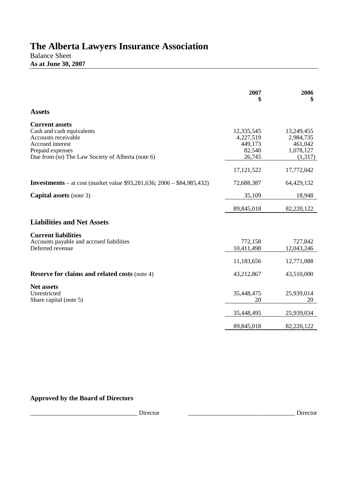# **The Alberta Lawyers Insurance Association**

Balance Sheet **As at June 30, 2007**

|                                                                                                                                                                        | 2007<br>\$                                             | 2006<br>\$                                                 |
|------------------------------------------------------------------------------------------------------------------------------------------------------------------------|--------------------------------------------------------|------------------------------------------------------------|
| <b>Assets</b>                                                                                                                                                          |                                                        |                                                            |
| <b>Current assets</b><br>Cash and cash equivalents<br>Accounts receivable<br>Accrued interest<br>Prepaid expenses<br>Due from (to) The Law Society of Alberta (note 6) | 12,335,545<br>4,227,519<br>449,173<br>82,540<br>26,745 | 13,249,455<br>2,984,735<br>461,042<br>1,078,127<br>(1,317) |
|                                                                                                                                                                        | 17, 121, 522                                           | 17,772,042                                                 |
| <b>Investments</b> – at cost (market value \$93,281,636; 2006 – \$84,985,432)                                                                                          | 72,688,387                                             | 64,429,132                                                 |
| <b>Capital assets</b> (note 3)                                                                                                                                         | 35,109                                                 | 18,948                                                     |
|                                                                                                                                                                        | 89,845,018                                             | 82,220,122                                                 |
| <b>Liabilities and Net Assets</b>                                                                                                                                      |                                                        |                                                            |
| <b>Current liabilities</b><br>Accounts payable and accrued liabilities<br>Deferred revenue                                                                             | 772,158<br>10,411,498<br>11,183,656                    | 727,842<br>12,043,246<br>12,771,088                        |
| <b>Reserve for claims and related costs (note 4)</b>                                                                                                                   | 43,212,867                                             | 43,510,000                                                 |
| <b>Net assets</b><br>Unrestricted<br>Share capital (note 5)                                                                                                            | 35,448,475<br>20                                       | 25,939,014<br>20                                           |
|                                                                                                                                                                        | 35,448,495                                             | 25,939,034                                                 |
|                                                                                                                                                                        | 89,845,018                                             | 82,220,122                                                 |

**Approved by the Board of Directors**

\_\_\_\_\_\_\_\_\_\_\_\_\_\_\_\_\_\_\_\_\_\_\_\_\_\_\_\_\_\_\_\_\_\_\_ Director \_\_\_\_\_\_\_\_\_\_\_\_\_\_\_\_\_\_\_\_\_\_\_\_\_\_\_\_\_\_\_\_\_\_\_ Director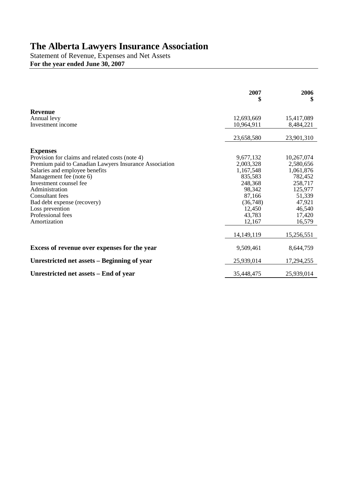### **The Alberta Lawyers Insurance Association**

Statement of Revenue, Expenses and Net Assets **For the year ended June 30, 2007**

|                                                                                                                                                                                                                                                                                                                                                 | 2007                                                                                                                    | 2006<br>\$                                                                                                              |
|-------------------------------------------------------------------------------------------------------------------------------------------------------------------------------------------------------------------------------------------------------------------------------------------------------------------------------------------------|-------------------------------------------------------------------------------------------------------------------------|-------------------------------------------------------------------------------------------------------------------------|
| <b>Revenue</b><br>Annual levy<br>Investment income                                                                                                                                                                                                                                                                                              | 12,693,669<br>10,964,911                                                                                                | 15,417,089<br>8,484,221                                                                                                 |
|                                                                                                                                                                                                                                                                                                                                                 | 23,658,580                                                                                                              | 23,901,310                                                                                                              |
| <b>Expenses</b><br>Provision for claims and related costs (note 4)<br>Premium paid to Canadian Lawyers Insurance Association<br>Salaries and employee benefits<br>Management fee (note 6)<br>Investment counsel fee<br>Administration<br>Consultant fees<br>Bad debt expense (recovery)<br>Loss prevention<br>Professional fees<br>Amortization | 9,677,132<br>2,003,328<br>1,167,548<br>835,583<br>248,368<br>98,342<br>87,166<br>(36,748)<br>12,450<br>43,783<br>12,167 | 10,267,074<br>2,580,656<br>1,061,876<br>782,452<br>258,717<br>125,977<br>51,339<br>47,921<br>46,540<br>17,420<br>16,579 |
|                                                                                                                                                                                                                                                                                                                                                 | 14, 149, 119                                                                                                            | 15,256,551                                                                                                              |
| Excess of revenue over expenses for the year                                                                                                                                                                                                                                                                                                    | 9,509,461                                                                                                               | 8,644,759                                                                                                               |
| Unrestricted net assets – Beginning of year                                                                                                                                                                                                                                                                                                     | 25,939,014                                                                                                              | 17,294,255                                                                                                              |
| Unrestricted net assets – End of year                                                                                                                                                                                                                                                                                                           | 35,448,475                                                                                                              | 25,939,014                                                                                                              |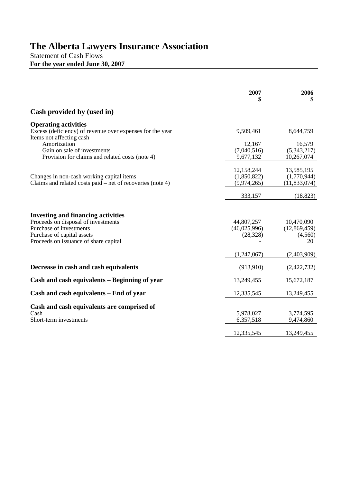### **The Alberta Lawyers Insurance Association**

Statement of Cash Flows **For the year ended June 30, 2007**

|                                                                                                                                                                                    | 2007<br>S                                | 2006                                        |
|------------------------------------------------------------------------------------------------------------------------------------------------------------------------------------|------------------------------------------|---------------------------------------------|
| Cash provided by (used in)                                                                                                                                                         |                                          |                                             |
| <b>Operating activities</b><br>Excess (deficiency) of revenue over expenses for the year<br>Items not affecting cash                                                               | 9,509,461                                | 8,644,759                                   |
| Amortization<br>Gain on sale of investments<br>Provision for claims and related costs (note 4)                                                                                     | 12,167<br>(7,040,516)<br>9,677,132       | 16,579<br>(5,343,217)<br>10,267,074         |
| Changes in non-cash working capital items<br>Claims and related costs paid – net of recoveries (note 4)                                                                            | 12,158,244<br>(1,850,822)<br>(9,974,265) | 13,585,195<br>(1,770,944)<br>(11,833,074)   |
|                                                                                                                                                                                    | 333,157                                  | (18, 823)                                   |
| <b>Investing and financing activities</b><br>Proceeds on disposal of investments<br>Purchase of investments<br>Purchase of capital assets<br>Proceeds on issuance of share capital | 44,807,257<br>(46,025,996)<br>(28, 328)  | 10,470,090<br>(12,869,459)<br>(4,560)<br>20 |
|                                                                                                                                                                                    | (1,247,067)                              | (2,403,909)                                 |
| Decrease in cash and cash equivalents                                                                                                                                              | (913, 910)                               | (2,422,732)                                 |
| Cash and cash equivalents – Beginning of year                                                                                                                                      | 13,249,455                               | 15,672,187                                  |
| Cash and cash equivalents – End of year                                                                                                                                            | 12,335,545                               | 13,249,455                                  |
| Cash and cash equivalents are comprised of<br>Cash<br>Short-term investments                                                                                                       | 5,978,027<br>6,357,518                   | 3,774,595<br>9,474,860                      |
|                                                                                                                                                                                    | 12,335,545                               | 13,249,455                                  |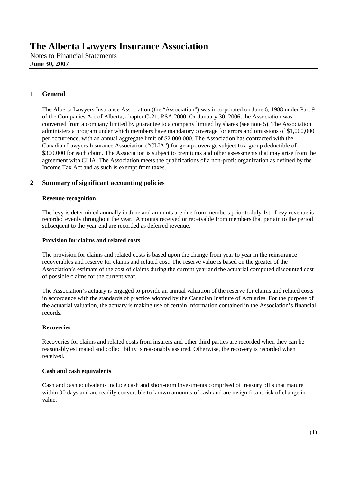#### **1 General**

The Alberta Lawyers Insurance Association (the "Association") was incorporated on June 6, 1988 under Part 9 of the Companies Act of Alberta, chapter C-21, RSA 2000. On January 30, 2006, the Association was converted from a company limited by guarantee to a company limited by shares (see note 5). The Association administers a program under which members have mandatory coverage for errors and omissions of \$1,000,000 per occurrence, with an annual aggregate limit of \$2,000,000. The Association has contracted with the Canadian Lawyers Insurance Association ("CLIA") for group coverage subject to a group deductible of \$300,000 for each claim. The Association is subject to premiums and other assessments that may arise from the agreement with CLIA. The Association meets the qualifications of a non-profit organization as defined by the Income Tax Act and as such is exempt from taxes.

#### **2 Summary of significant accounting policies**

#### **Revenue recognition**

The levy is determined annually in June and amounts are due from members prior to July 1st. Levy revenue is recorded evenly throughout the year. Amounts received or receivable from members that pertain to the period subsequent to the year end are recorded as deferred revenue.

#### **Provision for claims and related costs**

The provision for claims and related costs is based upon the change from year to year in the reinsurance recoverables and reserve for claims and related cost. The reserve value is based on the greater of the Association's estimate of the cost of claims during the current year and the actuarial computed discounted cost of possible claims for the current year.

The Association's actuary is engaged to provide an annual valuation of the reserve for claims and related costs in accordance with the standards of practice adopted by the Canadian Institute of Actuaries. For the purpose of the actuarial valuation, the actuary is making use of certain information contained in the Association's financial records.

#### **Recoveries**

Recoveries for claims and related costs from insurers and other third parties are recorded when they can be reasonably estimated and collectibility is reasonably assured. Otherwise, the recovery is recorded when received.

#### **Cash and cash equivalents**

Cash and cash equivalents include cash and short-term investments comprised of treasury bills that mature within 90 days and are readily convertible to known amounts of cash and are insignificant risk of change in value.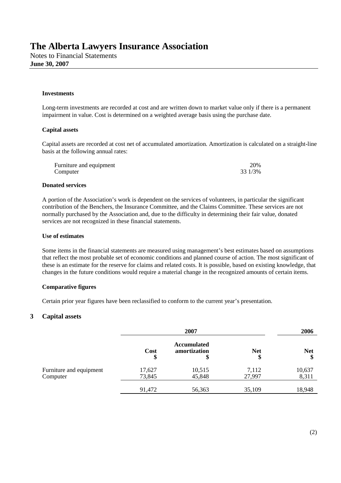#### **Investments**

Long-term investments are recorded at cost and are written down to market value only if there is a permanent impairment in value. Cost is determined on a weighted average basis using the purchase date.

#### **Capital assets**

Capital assets are recorded at cost net of accumulated amortization. Amortization is calculated on a straight-line basis at the following annual rates:

| Furniture and equipment | 20%     |
|-------------------------|---------|
| Computer                | 33 1/3% |

#### **Donated services**

A portion of the Association's work is dependent on the services of volunteers, in particular the significant contribution of the Benchers, the Insurance Committee, and the Claims Committee. These services are not normally purchased by the Association and, due to the difficulty in determining their fair value, donated services are not recognized in these financial statements.

#### **Use of estimates**

Some items in the financial statements are measured using management's best estimates based on assumptions that reflect the most probable set of economic conditions and planned course of action. The most significant of these is an estimate for the reserve for claims and related costs. It is possible, based on existing knowledge, that changes in the future conditions would require a material change in the recognized amounts of certain items.

#### **Comparative figures**

Certain prior year figures have been reclassified to conform to the current year's presentation.

#### **3 Capital assets**

|                                     | 2007             |                                          |                  | 2006             |  |
|-------------------------------------|------------------|------------------------------------------|------------------|------------------|--|
|                                     | Cost<br>\$       | <b>Accumulated</b><br>amortization<br>\$ | <b>Net</b><br>\$ | <b>Net</b><br>\$ |  |
| Furniture and equipment<br>Computer | 17,627<br>73,845 | 10,515<br>45,848                         | 7,112<br>27,997  | 10,637<br>8,311  |  |
|                                     | 91,472           | 56,363                                   | 35,109           | 18,948           |  |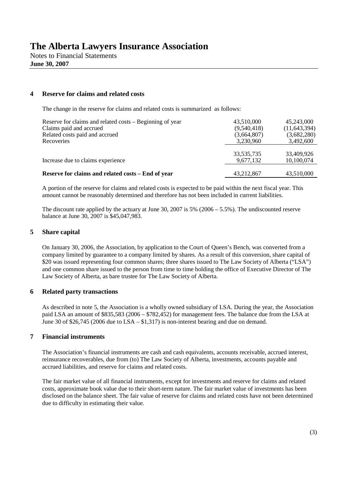#### **4 Reserve for claims and related costs**

The change in the reserve for claims and related costs is summarized as follows:

| Reserve for claims and related costs – Beginning of year<br>Claims paid and accrued<br>Related costs paid and accrued<br>Recoveries | 43,510,000<br>(9,540,418)<br>(3,664,807)<br>3,230,960 | 45,243,000<br>(11, 643, 394)<br>(3,682,280)<br>3,492,600 |
|-------------------------------------------------------------------------------------------------------------------------------------|-------------------------------------------------------|----------------------------------------------------------|
| Increase due to claims experience                                                                                                   | 33, 535, 735<br>9,677,132                             | 33,409,926<br>10,100,074                                 |
| Reserve for claims and related costs – End of year                                                                                  | 43,212,867                                            | 43,510,000                                               |

A portion of the reserve for claims and related costs is expected to be paid within the next fiscal year. This amount cannot be reasonably determined and therefore has not been included in current liabilities.

The discount rate applied by the actuary at June 30, 2007 is 5%  $(2006 - 5.5\%)$ . The undiscounted reserve balance at June 30, 2007 is \$45,047,983.

#### **5 Share capital**

On January 30, 2006, the Association, by application to the Court of Queen's Bench, was converted from a company limited by guarantee to a company limited by shares. As a result of this conversion, share capital of \$20 was issued representing four common shares; three shares issued to The Law Society of Alberta ("LSA") and one common share issued to the person from time to time holding the office of Executive Director of The Law Society of Alberta, as bare trustee for The Law Society of Alberta.

#### **6 Related party transactions**

As described in note 5, the Association is a wholly owned subsidiary of LSA. During the year, the Association paid LSA an amount of \$835,583 (2006 – \$782,452) for management fees. The balance due from the LSA at June 30 of \$26,745 (2006 due to  $LSA - $1,317$ ) is non-interest bearing and due on demand.

#### **7 Financial instruments**

The Association's financial instruments are cash and cash equivalents, accounts receivable, accrued interest, reinsurance recoverables, due from (to) The Law Society of Alberta, investments, accounts payable and accrued liabilities, and reserve for claims and related costs.

The fair market value of all financial instruments, except for investments and reserve for claims and related costs, approximate book value due to their short-term nature. The fair market value of investments has been disclosed on the balance sheet. The fair value of reserve for claims and related costs have not been determined due to difficulty in estimating their value.